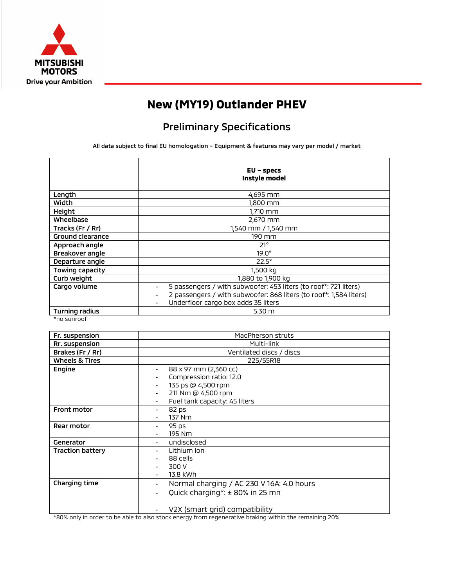

## **New (MY19) Outlander PHEV**

## Preliminary Specifications

All data subject to final EU homologation – Equipment & features may vary per model / market

|                         | $EU$ – specs<br>Instyle model                                      |  |
|-------------------------|--------------------------------------------------------------------|--|
| Length                  | 4,695 mm                                                           |  |
| Width                   | 1,800 mm                                                           |  |
| Height                  | 1,710 mm                                                           |  |
| Wheelbase               | 2,670 mm                                                           |  |
| Tracks (Fr / Rr)        | 1,540 mm / 1,540 mm                                                |  |
| <b>Ground clearance</b> | 190 mm                                                             |  |
| Approach angle          | $21^{\circ}$                                                       |  |
| Breakover angle         | $19.0^\circ$                                                       |  |
| Departure angle         | $22.5^\circ$                                                       |  |
| Towing capacity         | 1,500 kg                                                           |  |
| Curb weight             | 1,880 to 1,900 kg                                                  |  |
| Cargo volume            | 5 passengers / with subwoofer: 453 liters (to roof*: 721 liters)   |  |
|                         | 2 passengers / with subwoofer: 868 liters (to roof*: 1,584 liters) |  |
|                         | Underfloor cargo box adds 35 liters                                |  |
| Turning radius          | 5.30 <sub>m</sub>                                                  |  |

\*no sunroof

| Fr. suspension            | MacPherson struts                              |  |  |
|---------------------------|------------------------------------------------|--|--|
| Rr. suspension            | Multi-link                                     |  |  |
| Brakes (Fr / Rr)          | Ventilated discs / discs                       |  |  |
| <b>Wheels &amp; Tires</b> | 225/55R18                                      |  |  |
| Engine                    | 88 x 97 mm (2,360 cc)<br>-                     |  |  |
|                           | Compression ratio: 12.0                        |  |  |
|                           | 135 ps @ 4,500 rpm                             |  |  |
|                           | 211 Nm @ 4,500 rpm                             |  |  |
|                           | Fuel tank capacity: 45 liters                  |  |  |
| <b>Front motor</b>        | 82 ps<br>-                                     |  |  |
|                           | 137 Nm                                         |  |  |
| Rear motor                | 95 ps                                          |  |  |
|                           | 195 Nm                                         |  |  |
| Generator                 | undisclosed                                    |  |  |
| <b>Traction battery</b>   | Lithium Ion                                    |  |  |
|                           | 88 cells                                       |  |  |
|                           | 300 V                                          |  |  |
|                           | 13.8 kWh                                       |  |  |
| Charging time             | Normal charging / AC 230 V 16A: 4.0 hours<br>- |  |  |
|                           | Quick charging*: ± 80% in 25 mn                |  |  |
|                           |                                                |  |  |
|                           | V2X (smart grid) compatibility                 |  |  |

\*80% only in order to be able to also stock energy from regenerative braking within the remaining 20%